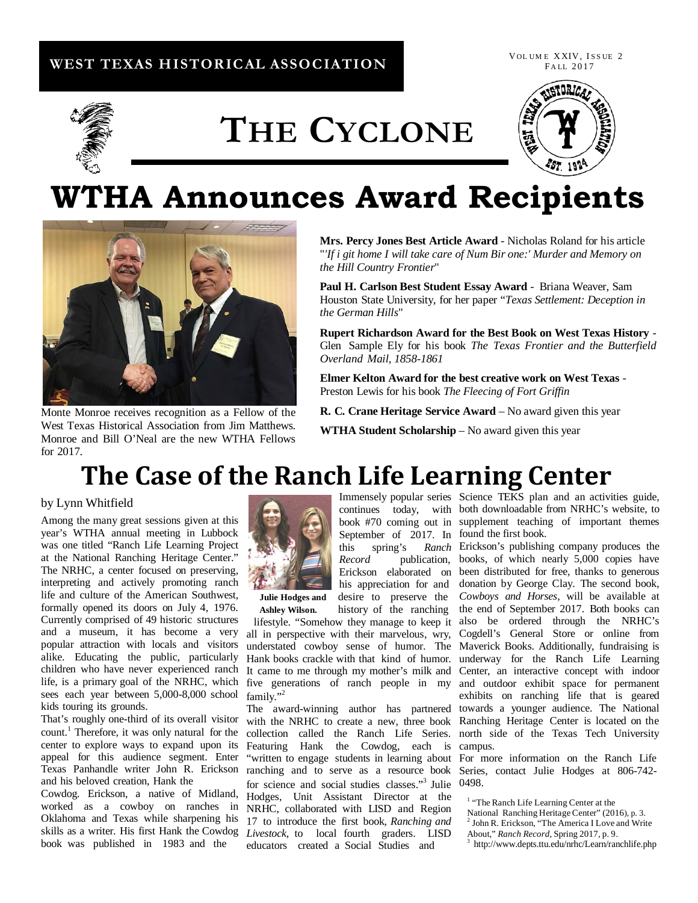### **WEST TEXAS HISTORICAL ASSOCIATION**

VOL UM E XXIV, ISSUE 2 FA LL 2017



# **THE CYCLONE**



## **WTHA Announces Award Recipients**



Monte Monroe receives recognition as a Fellow of the West Texas Historical Association from Jim Matthews. Monroe and Bill O'Neal are the new WTHA Fellows for 2017.

**Mrs. Percy Jones Best Article Award** - Nicholas Roland for his article "*'If i git home I will take care of Num Bir one:' Murder and Memory on the Hill Country Frontier*"

**Paul H. Carlson Best Student Essay Award** - Briana Weaver, Sam Houston State University, for her paper "*Texas Settlement: Deception in the German Hills*"

**Rupert Richardson Award for the Best Book on West Texas History** - Glen Sample Ely for his book *The Texas Frontier and the Butterfield Overland Mail, 1858-1861*

**Elmer Kelton Award for the best creative work on West Texas** - Preston Lewis for his book *The Fleecing of Fort Griffin*

**R. C. Crane Heritage Service Award** – No award given this year

**WTHA Student Scholarship** – No award given this year

### **The Case of the Ranch Life Learning Center**

### by Lynn Whitfield

Among the many great sessions given at this year's WTHA annual meeting in Lubbock was one titled "Ranch Life Learning Project at the National Ranching Heritage Center." The NRHC, a center focused on preserving, interpreting and actively promoting ranch life and culture of the American Southwest, formally opened its doors on July 4, 1976. Currently comprised of 49 historic structures and a museum, it has become a very popular attraction with locals and visitors alike. Educating the public, particularly children who have never experienced ranch life, is a primary goal of the NRHC, which sees each year between 5,000-8,000 school kids touring its grounds.

That's roughly one-third of its overall visitor count.<sup>1</sup> Therefore, it was only natural for the center to explore ways to expand upon its appeal for this audience segment. Enter and his beloved creation, Hank the

Cowdog. Erickson, a native of Midland, worked as a cowboy on ranches in Oklahoma and Texas while sharpening his book was published in 1983 and the



 lifestyle. "Somehow they manage to keep it also be ordered through the NRHC's all in perspective with their marvelous, wry, Cogdell's General Store or online from understated cowboy sense of humor. The Maverick Books. Additionally, fundraising is Hank books crackle with that kind of humor. underway for the Ranch Life Learning It came to me through my mother's milk and Center, an interactive concept with indoor five generations of ranch people in my and outdoor exhibit space for permanent family."<sup>2</sup>

Texas Panhandle writer John R. Erickson ranching and to serve as a resource book Series, contact Julie Hodges at 806-742skills as a writer. His first Hank the Cowdog *Livestock*, to local fourth graders. LISD with the NRHC to create a new, three book Ranching Heritage Center is located on the collection called the Ranch Life Series. north side of the Texas Tech University Featuring Hank the Cowdog, each is campus. "written to engage students in learning about For more information on the Ranch Life for science and social studies classes."<sup>3</sup> Julie 0498. Hodges, Unit Assistant Director at the NRHC, collaborated with LISD and Region 17 to introduce the first book, *Ranching and* educators created a Social Studies and

Immensely popular series Science TEKS plan and an activities guide, continues today, with both downloadable from NRHC's website, to book #70 coming out in supplement teaching of important themes September of 2017. In found the first book.

this spring's *Ranch* Erickson's publishing company produces the *Record* publication, books, of which nearly 5,000 copies have Erickson elaborated on been distributed for free, thanks to generous his appreciation for and donation by George Clay. The second book,  **Julie Hodges and** desire to preserve the *Cowboys and Horses*, will be available at Ashley Wilson. history of the ranching the end of September 2017. Both books can The award-winning author has partnered towards a younger audience. The National exhibits on ranching life that is geared

<sup>1</sup> "The Ranch Life Learning Center at the National Ranching Heritage Center" (2016), p. 3.

 $2$  John R. Erickson, "The America I Love and Write

About," *Ranch Record*, Spring 2017, p. 9. 3 http://www.depts.ttu.edu/nrhc/Learn/ranchlife.php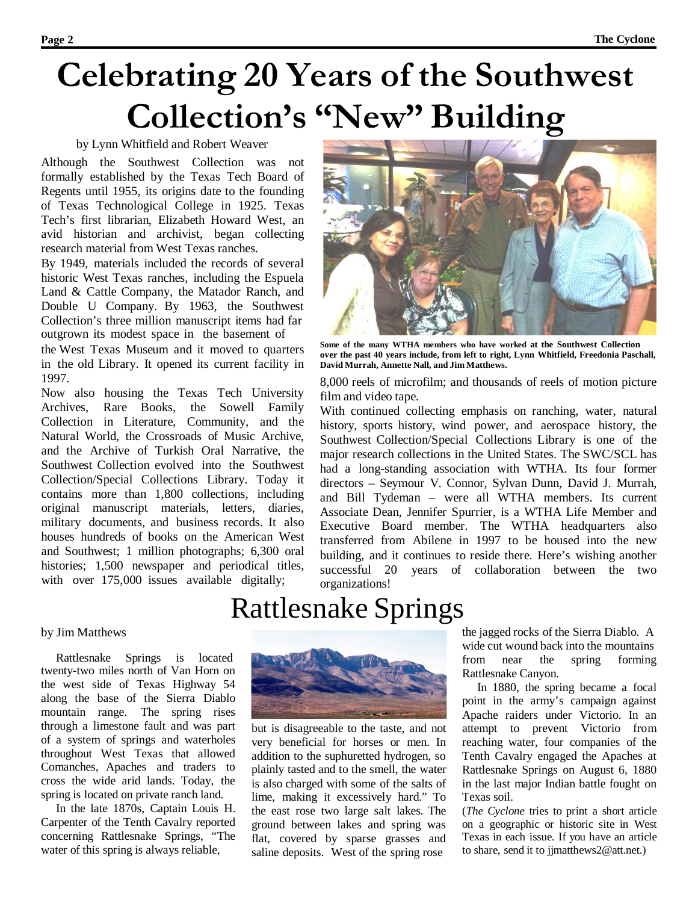# **Celebrating 20 Years of the Southwest Collection's "New" Building**

### by Lynn Whitfield and Robert Weaver

Although the Southwest Collection was not formally established by the Texas Tech Board of Regents until 1955, its origins date to the founding of Texas Technological College in 1925. Texas Tech's first librarian, Elizabeth Howard West, an avid historian and archivist, began collecting research material from West Texas ranches.

By 1949, materials included the records of several historic West Texas ranches, including the Espuela Land & Cattle Company, the Matador Ranch, and Double U Company. By 1963, the Southwest Collection's three million manuscript items had far outgrown its modest space in the basement of

the West Texas Museum and it moved to quarters in the old Library. It opened its current facility in 1997.

Now also housing the Texas Tech University Archives, Rare Books, the Sowell Family Collection in Literature, Community, and the Natural World, the Crossroads of Music Archive, and the Archive of Turkish Oral Narrative, the Southwest Collection evolved into the Southwest Collection/Special Collections Library. Today it contains more than 1,800 collections, including original manuscript materials, letters, diaries, military documents, and business records. It also houses hundreds of books on the American West and Southwest; 1 million photographs; 6,300 oral histories; 1,500 newspaper and periodical titles, with over 175,000 issues available digitally;



**Some of the many WTHA members who have worked at the Southwest Collection over the past 40 years include, from left to right, Lynn Whitfield, Freedonia Paschall, David Murrah, Annette Nall, and Jim Matthews.**

8,000 reels of microfilm; and thousands of reels of motion picture film and video tape.

With continued collecting emphasis on ranching, water, natural history, sports history, wind power, and aerospace history, the Southwest Collection/Special Collections Library is one of the major research collections in the United States. The SWC/SCL has had a long-standing association with WTHA. Its four former directors – Seymour V. Connor, Sylvan Dunn, David J. Murrah, and Bill Tydeman – were all WTHA members. Its current Associate Dean, Jennifer Spurrier, is a WTHA Life Member and Executive Board member. The WTHA headquarters also transferred from Abilene in 1997 to be housed into the new building, and it continues to reside there. Here's wishing another successful 20 years of collaboration between the two organizations!

### Rattlesnake Springs

### by Jim Matthews

Rattlesnake Springs is located twenty-two miles north of Van Horn on the west side of Texas Highway 54 along the base of the Sierra Diablo mountain range. The spring rises through a limestone fault and was part of a system of springs and waterholes throughout West Texas that allowed Comanches, Apaches and traders to cross the wide arid lands. Today, the spring is located on private ranch land.

In the late 1870s, Captain Louis H. Carpenter of the Tenth Cavalry reported concerning Rattlesnake Springs, "The water of this spring is always reliable,



but is disagreeable to the taste, and not very beneficial for horses or men. In addition to the suphuretted hydrogen, so plainly tasted and to the smell, the water is also charged with some of the salts of lime, making it excessively hard." To the east rose two large salt lakes. The ground between lakes and spring was flat, covered by sparse grasses and saline deposits. West of the spring rose

the jagged rocks of the Sierra Diablo. A wide cut wound back into the mountains from near the spring forming Rattlesnake Canyon.

In 1880, the spring became a focal point in the army's campaign against Apache raiders under Victorio. In an attempt to prevent Victorio from reaching water, four companies of the Tenth Cavalry engaged the Apaches at Rattlesnake Springs on August 6, 1880 in the last major Indian battle fought on Texas soil.

(*The Cyclone* tries to print a short article on a geographic or historic site in West Texas in each issue. If you have an article to share, send it to jjmatthews2@att.net.)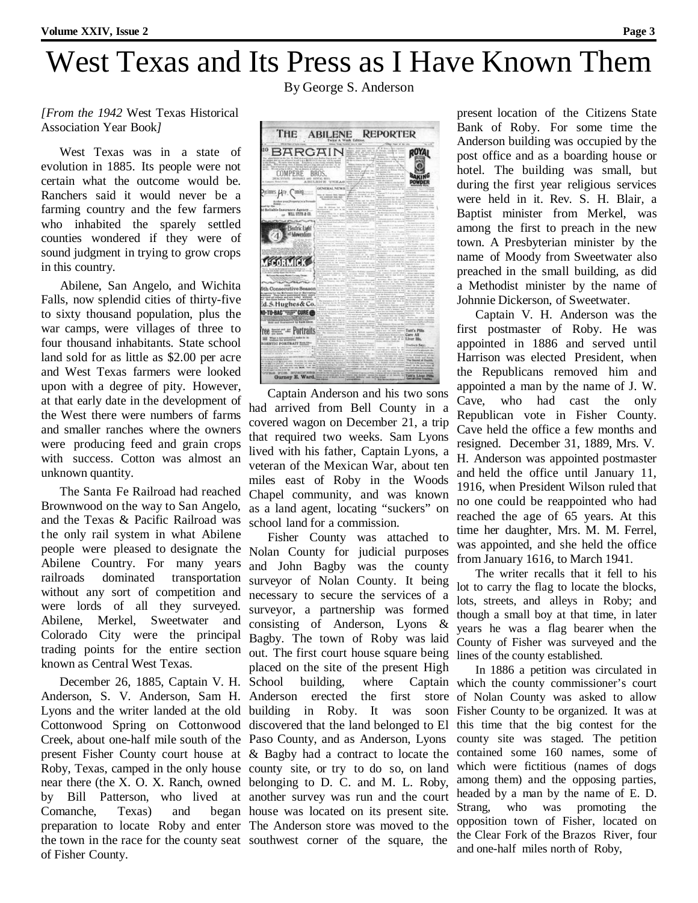# West Texas and Its Press as I Have Known Them

By George S. Anderson

*[From the 1942* West Texas Historical Association Year Book*]*

West Texas was in a state of evolution in 1885. Its people were not certain what the outcome would be. Ranchers said it would never be a farming country and the few farmers who inhabited the sparely settled counties wondered if they were of sound judgment in trying to grow crops in this country.

Abilene, San Angelo, and Wichita Falls, now splendid cities of thirty-five to sixty thousand population, plus the war camps, were villages of three to four thousand inhabitants. State school land sold for as little as \$2.00 per acre and West Texas farmers were looked upon with a degree of pity. However, at that early date in the development of the West there were numbers of farms and smaller ranches where the owners were producing feed and grain crops with success. Cotton was almost an unknown quantity.

The Santa Fe Railroad had reached Brownwood on the way to San Angelo, and the Texas & Pacific Railroad was t he only rail system in what Abilene people were pleased to designate the Abilene Country. For many years railroads dominated transportation without any sort of competition and were lords of all they surveyed. Abilene, Merkel, Sweetwater and Colorado City were the principal trading points for the entire section known as Central West Texas.

December 26, 1885, Captain V. H. Anderson, S. V. Anderson, Sam H. Anderson erected the first store Lyons and the writer landed at the old building in Roby. It was soon Cottonwood Spring on Cottonwood discovered that the land belonged to El Creek, about one-half mile south of the Paso County, and as Anderson, Lyons present Fisher County court house at & Bagby had a contract to locate the Roby, Texas, camped in the only house county site, or try to do so, on land near there (the X. O. X. Ranch, owned belonging to D. C. and M. L. Roby, by Bill Patterson, who lived at another survey was run and the court Comanche, Texas) and preparation to locate Roby and enter The Anderson store was moved to the the town in the race for the county seat southwest corner of the square, the of Fisher County.



Captain Anderson and his two sons had arrived from Bell County in a covered wagon on December 21, a trip that required two weeks. Sam Lyons lived with his father, Captain Lyons, a veteran of the Mexican War, about ten miles east of Roby in the Woods Chapel community, and was known as a land agent, locating "suckers" on school land for a commission.

Fisher County was attached to Nolan County for judicial purposes and John Bagby was the county surveyor of Nolan County. It being necessary to secure the services of a surveyor, a partnership was formed consisting of Anderson, Lyons & Bagby. The town of Roby was laid out. The first court house square being placed on the site of the present High building, where Captain house was located on its present site.

present location of the Citizens State Bank of Roby. For some time the Anderson building was occupied by the post office and as a boarding house or hotel. The building was small, but during the first year religious services were held in it. Rev. S. H. Blair, a Baptist minister from Merkel, was among the first to preach in the new town. A Presbyterian minister by the name of Moody from Sweetwater also preached in the small building, as did a Methodist minister by the name of Johnnie Dickerson, of Sweetwater.

Captain V. H. Anderson was the first postmaster of Roby. He was appointed in 1886 and served until Harrison was elected President, when the Republicans removed him and appointed a man by the name of J. W. Cave, who had cast the only Republican vote in Fisher County. Cave held the office a few months and resigned. December 31, 1889, Mrs. V. H. Anderson was appointed postmaster and held the office until January 11, 1916, when President Wilson ruled that no one could be reappointed who had reached the age of 65 years. At this time her daughter, Mrs. M. M. Ferrel, was appointed, and she held the office from January 1616, to March 1941.

The writer recalls that it fell to his lot to carry the flag to locate the blocks, lots, streets, and alleys in Roby; and though a small boy at that time, in later years he was a flag bearer when the County of Fisher was surveyed and the lines of the county established.

In 1886 a petition was circulated in which the county commissioner's court of Nolan County was asked to allow Fisher County to be organized. It was at this time that the big contest for the county site was staged. The petition contained some 160 names, some of which were fictitious (names of dogs among them) and the opposing parties, headed by a man by the name of E. D. Strang, who was promoting the opposition town of Fisher, located on the Clear Fork of the Brazos River, four and one-half miles north of Roby,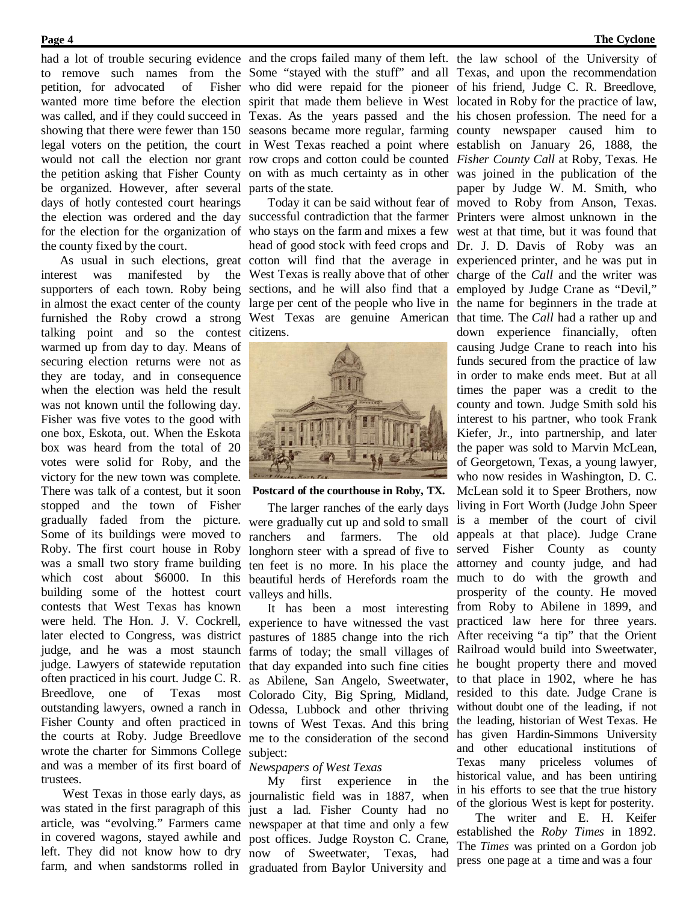had a lot of trouble securing evidence and the crops failed many of them left. the law school of the University of petition, for advocated of be organized. However, after several parts of the state. days of hotly contested court hearings the county fixed by the court.

talking point and so the contest citizens. warmed up from day to day. Means of securing election returns were not as they are today, and in consequence when the election was held the result was not known until the following day. Fisher was five votes to the good with one box, Eskota, out. When the Eskota box was heard from the total of 20 votes were solid for Roby, and the victory for the new town was complete. There was talk of a contest, but it soon stopped and the town of Fisher gradually faded from the picture. were gradually cut up and sold to small Some of its buildings were moved to Roby. The first court house in Roby was a small two story frame building which cost about \$6000. In this building some of the hottest court contests that West Texas has known were held. The Hon. J. V. Cockrell, experience to have witnessed the vast later elected to Congress, was district pastures of 1885 change into the rich judge, and he was a most staunch farms of today; the small villages of judge. Lawyers of statewide reputation that day expanded into such fine cities often practiced in his court. Judge C. R. as Abilene, San Angelo, Sweetwater, Breedlove, one of outstanding lawyers, owned a ranch in Odessa, Lubbock and other thriving Fisher County and often practiced in towns of West Texas. And this bring the courts at Roby. Judge Breedlove me to the consideration of the second wrote the charter for Simmons College subject: and was a member of its first board of *Newspapers of West Texas* trustees.

was stated in the first paragraph of this just a lad. Fisher County had no article, was "evolving." Farmers came newspaper at that time and only a few in covered wagons, stayed awhile and post offices. Judge Royston C. Crane, left. They did not know how to dry now of Sweetwater, Texas, had farm, and when sandstorms rolled in graduated from Baylor University and

to remove such names from the Some "stayed with the stuff" and all Texas, and upon the recommendation wanted more time before the election spirit that made them believe in West located in Roby for the practice of law, was called, and if they could succeed in Texas. As the years passed and the his chosen profession. The need for a showing that there were fewer than 150 seasons became more regular, farming county newspaper caused him to legal voters on the petition, the court in West Texas reached a point where establish on January 26, 1888, the would not call the election nor grant row crops and cotton could be counted Fisher County Call at Roby, Texas. He the petition asking that Fisher County on with as much certainty as in other was joined in the publication of the who did were repaid for the pioneer of his friend, Judge C. R. Breedlove,

the election was ordered and the day successful contradiction that the farmer Printers were almost unknown in the for the election for the organization of who stays on the farm and mixes a few west at that time, but it was found that As usual in such elections, great cotton will find that the average in experienced printer, and he was put in interest was manifested by the West Texas is really above that of other charge of the *Call* and the writer was supporters of each town. Roby being sections, and he will also find that a employed by Judge Crane as "Devil," in almost the exact center of the county large per cent of the people who live in the name for beginners in the trade at furnished the Roby crowd a strong West Texas are genuine American that time. The *Call* had a rather up and head of good stock with feed crops and Dr. J. D. Davis of Roby was an



#### **Postcard of the courthouse in Roby, TX.**

The larger ranches of the early days ranchers and farmers. The old longhorn steer with a spread of five to ten feet is no more. In his place the beautiful herds of Herefords roam the valleys and hills.

It has been a most interesting Texas most Colorado City, Big Spring, Midland,

West Texas in those early days, as journalistic field was in 1887, when My first experience in the

Today it can be said without fear of moved to Roby from Anson, Texas. paper by Judge W. M. Smith, who down experience financially, often causing Judge Crane to reach into his funds secured from the practice of law in order to make ends meet. But at all times the paper was a credit to the county and town. Judge Smith sold his interest to his partner, who took Frank Kiefer, Jr., into partnership, and later the paper was sold to Marvin McLean, of Georgetown, Texas, a young lawyer, who now resides in Washington, D. C. McLean sold it to Speer Brothers, now living in Fort Worth (Judge John Speer is a member of the court of civil appeals at that place). Judge Crane served Fisher County as county attorney and county judge, and had much to do with the growth and prosperity of the county. He moved from Roby to Abilene in 1899, and practiced law here for three years. After receiving "a tip" that the Orient Railroad would build into Sweetwater, he bought property there and moved to that place in 1902, where he has resided to this date. Judge Crane is without doubt one of the leading, if not the leading, historian of West Texas. He has given Hardin-Simmons University and other educational institutions of Texas many priceless volumes of historical value, and has been untiring in his efforts to see that the true history of the glorious West is kept for posterity.

> The writer and E. H. Keifer established the *Roby Times* in 1892. The *Times* was printed on a Gordon job press one page at a time and was a four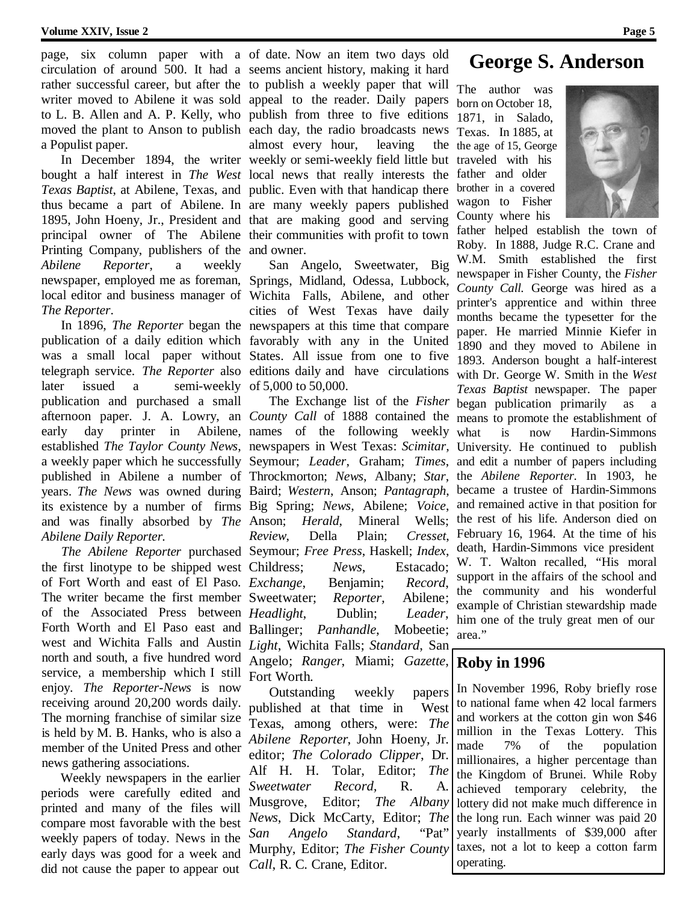circulation of around 500. It had a seems ancient history, making it hard writer moved to Abilene it was sold appeal to the reader. Daily papers to L. B. Allen and A. P. Kelly, who publish from three to five editions moved the plant to Anson to publish each day, the radio broadcasts news a Populist paper.

bought a half interest in *The West* local news that really interests the *Texas Baptist*, at Abilene, Texas, and public. Even with that handicap there thus became a part of Abilene. In are many weekly papers published 1895, John Hoeny, Jr., President and that are making good and serving principal owner of The Abilene their communities with profit to town Printing Company, publishers of the and owner. *Abilene Reporter*, a weekly newspaper, employed me as foreman, Springs, Midland, Odessa, Lubbock, local editor and business manager of Wichita Falls, Abilene, and other *The Reporter*.

publication of a daily edition which favorably with any in the United was a small local paper without States. All issue from one to five telegraph service. *The Reporter* also editions daily and have circulations later issued a semi-weekly of 5,000 to 50,000. publication and purchased a small early day printer in Abilene, names of the following weekly a weekly paper which he successfully Seymour; *Leader*, Graham; *Times*, years. *The News* was owned during Baird; *Western*, Anson; *Pantagraph*, its existence by a number of firms Big Spring; *News*, Abilene; *Voice*, and was finally absorbed by *The Abilene Daily Reporter.*

the first linotype to be shipped west Childress; *News*, Estacado; of Fort Worth and east of El Paso. Exchange, The writer became the first member Sweetwater; *Reporter,* Abilene; of the Associated Press between *Headlight*, Dublin; *Leader*, Forth Worth and El Paso east and Ballinger; *Panhandle*, Mobeetie; west and Wichita Falls and Austin *Light*, Wichita Falls; *Standard*, San north and south, a five hundred word service, a membership which I still enjoy. *The Reporter-News* is now receiving around 20,200 words daily. The morning franchise of similar size is held by M. B. Hanks, who is also a member of the United Press and other news gathering associations.

Weekly newspapers in the earlier periods were carefully edited and printed and many of the files will compare most favorable with the best weekly papers of today. News in the early days was good for a week and did not cause the paper to appear out

page, six column paper with a of date. Now an item two days old rather successful career, but after the to publish a weekly paper that will The author was In December 1894, the writer weekly or semi-weekly field little but traveled with his almost every hour, leaving the

In 1896, *The Reporter* began the newspapers at this time that compare San Angelo, Sweetwater, Big cities of West Texas have daily

afternoon paper. J. A. Lowry, an *County Call* of 1888 contained the means to promote the establishment of established *The Taylor County News*, newspapers in West Texas: *Scimitar,* University. He continued to publish published in Abilene a number of Throckmorton; *News*, Albany; *Star*, the *Abilene Reporter.* In 1903, he *The Abilene Reporter* purchased Seymour; *Free Press*, Haskell; *Index*, The Exchange list of the *Fisher* Anson; *Herald*, Mineral Wells; the rest of his life. Anderson died on *Review*, Della Plain; *Cresset*, *Exchange*, Benjamin; *Record*, Angelo; *Ranger*, Miami; *Gazette*, Fort Worth.

> Outstanding weekly papers published at that time in West Texas, among others, were: *The Abilene Reporter*, John Hoeny, Jr. editor; *The Colorado Clipper*, Dr. Alf H. H. Tolar, Editor; *The Sweetwater Record,* R. A. Musgrove, Editor; *The Albany News*, Dick McCarty, Editor; *The San Angelo Standard*, "Pat" Murphy, Editor; *The Fisher County Call*, R. C. Crane, Editor.

### **George S. Anderson**

born on October 18, 1871, in Salado, Texas. In 1885, at the age of 15, George father and older brother in a covered wagon to Fisher County where his



father helped establish the town of Roby. In 1888, Judge R.C. Crane and W.M. Smith established the first newspaper in Fisher County, the *Fisher County Call.* George was hired as a printer's apprentice and within three months became the typesetter for the paper. He married Minnie Kiefer in 1890 and they moved to Abilene in 1893. Anderson bought a half-interest with Dr. George W. Smith in the *West Texas Baptist* newspaper. The paper began publication primarily as a what is now Hardin-Simmons and edit a number of papers including became a trustee of Hardin-Simmons and remained active in that position for February 16, 1964. At the time of his death, Hardin-Simmons vice president W. T. Walton recalled, "His moral support in the affairs of the school and the community and his wonderful example of Christian stewardship made him one of the truly great men of our area."

### **Roby in 1996**

In November 1996, Roby briefly rose to national fame when 42 local farmers and workers at the cotton gin won \$46 million in the Texas Lottery. This made 7% of the population millionaires, a higher percentage than the Kingdom of Brunei. While Roby achieved temporary celebrity, the lottery did not make much difference in the long run. Each winner was paid 20 yearly installments of \$39,000 after taxes, not a lot to keep a cotton farm operating.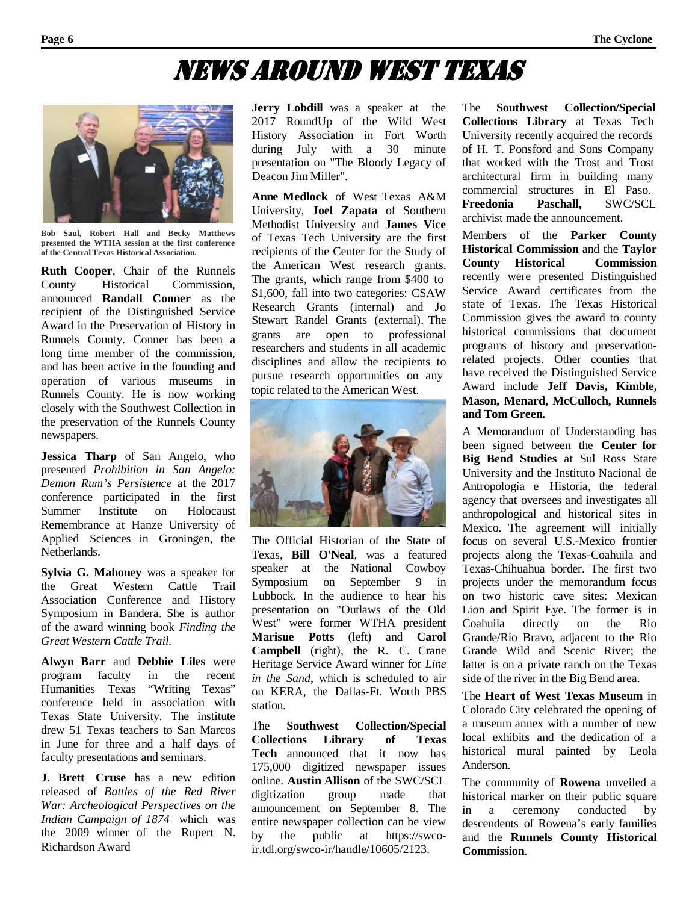### News ArouNd west texAs



**Bob Saul, Robert Hall and Becky Matthews presented the WTHA session at the first conference of the Central Texas Historical Association.**

**Ruth Cooper**, Chair of the Runnels County Historical Commission, announced **Randall Conner** as the recipient of the Distinguished Service Award in the Preservation of History in Runnels County. Conner has been a long time member of the commission, and has been active in the founding and operation of various museums in Runnels County. He is now working closely with the Southwest Collection in the preservation of the Runnels County newspapers.

**Jessica Tharp** of San Angelo, who presented *Prohibition in San Angelo: Demon Rum's Persistence* at the 2017 conference participated in the first Summer Institute on Holocaust Remembrance at Hanze University of Applied Sciences in Groningen, the Netherlands.

**Sylvia G. Mahoney** was a speaker for the Great Western Cattle Trail Association Conference and History Symposium in Bandera. She is author of the award winning book *Finding the Great Western Cattle Trail*.

**Alwyn Barr** and **Debbie Liles** were program faculty in the recent Humanities Texas "Writing Texas" conference held in association with Texas State University. The institute drew 51 Texas teachers to San Marcos in June for three and a half days of faculty presentations and seminars.

**J. Brett Cruse** has a new edition released of *Battles of the Red River War: Archeological Perspectives on the Indian Campaign of 1874* which was the 2009 winner of the Rupert N. Richardson Award

**Jerry Lobdill** was a speaker at the 2017 RoundUp of the Wild West History Association in Fort Worth during July with a 30 minute presentation on "The Bloody Legacy of Deacon Jim Miller".

**Anne Medlock** of West Texas A&M University, **Joel Zapata** of Southern Methodist University and **James Vice** of Texas Tech University are the first recipients of the Center for the Study of the American West research grants. The grants, which range from \$400 to \$1,600, fall into two categories: CSAW Research Grants (internal) and Jo Stewart Randel Grants (external). The grants are open to professional researchers and students in all academic disciplines and allow the recipients to pursue research opportunities on any topic related to the American West.



The Official Historian of the State of Texas, **Bill O'Neal**, was a featured speaker at the National Cowboy Symposium on September 9 in Lubbock. In the audience to hear his presentation on "Outlaws of the Old West" were former WTHA president **Marisue Potts** (left) and **Carol Campbell** (right), the R. C. Crane Heritage Service Award winner for *Line in the Sand*, which is scheduled to air on KERA, the Dallas-Ft. Worth PBS station.

The **Southwest Collection/Special Collections Library of Texas Tech** announced that it now has 175,000 digitized newspaper issues online. **Austin Allison** of the SWC/SCL digitization group made that announcement on September 8. The entire newspaper collection can be view by the public at https://swcoir.tdl.org/swco-ir/handle/10605/2123.

The **Southwest Collection/Special Collections Library** at Texas Tech University recently acquired the records of H. T. Ponsford and Sons Company that worked with the Trost and Trost architectural firm in building many commercial structures in El Paso.<br>Freedonia Paschall. SWC/SCL **Freedonia Paschall,** SWC/SCL archivist made the announcement.

Members of the **Parker County Historical Commission** and the **Taylor County Historical Commission** recently were presented Distinguished Service Award certificates from the state of Texas. The Texas Historical Commission gives the award to county historical commissions that document programs of history and preservationrelated projects. Other counties that have received the Distinguished Service Award include **Jeff Davis, Kimble, Mason, Menard, McCulloch, Runnels and Tom Green.**

A Memorandum of Understanding has been signed between the **Center for Big Bend Studies** at Sul Ross State University and the Instituto Nacional de Antropología e Historia, the federal agency that oversees and investigates all anthropological and historical sites in Mexico. The agreement will initially focus on several U.S.-Mexico frontier projects along the Texas-Coahuila and Texas-Chihuahua border. The first two projects under the memorandum focus on two historic cave sites: Mexican Lion and Spirit Eye. The former is in Coahuila directly on the Rio Grande/Río Bravo, adjacent to the Rio Grande Wild and Scenic River; the latter is on a private ranch on the Texas side of the river in the Big Bend area.

The **Heart of West Texas Museum** in Colorado City celebrated the opening of a museum annex with a number of new local exhibits and the dedication of a historical mural painted by Leola Anderson.

The community of **Rowena** unveiled a historical marker on their public square in a ceremony conducted by descendents of Rowena's early families and the **Runnels County Historical Commission**.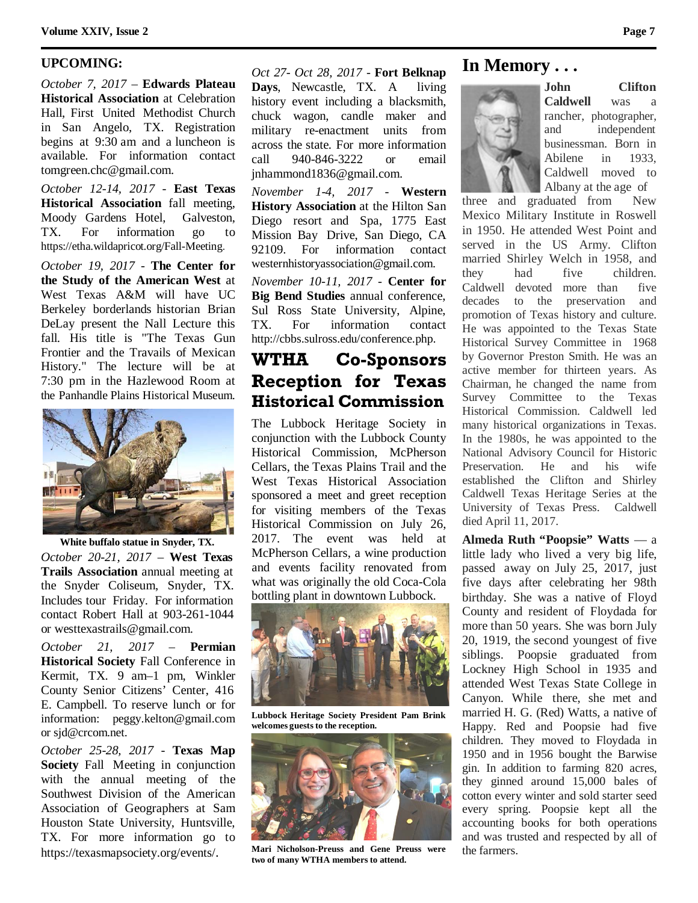### **UPCOMING:**

*October 7, 2017* – **Edwards Plateau Historical Association** at Celebration Hall, First United Methodist Church in San Angelo, TX. Registration begins at 9:30 am and a luncheon is available. For information contac[t](mailto:tomgreen.chc@gmail.com) [tomgreen.chc@gmail.com.](mailto:tomgreen.chc@gmail.com)

*October 12-14, 2017* - **East Texas Historical Association** fall meeting, Moody Gardens Hotel, Galveston, TX. For information go to https://etha.wildapricot.org/Fall-Meeting.

*October 19, 2017* - **The Center for the Study of the American West** at West Texas A&M will have UC Berkeley borderlands historian Brian DeLay present the Nall Lecture this fall. His title is "The Texas Gun Frontier and the Travails of Mexican History." The lecture will be at 7:30 pm in the Hazlewood Room at the Panhandle Plains Historical Museum.



**White buffalo statue in Snyder, TX.** *October 20-21, 2017* – **West Texas Trails Association** annual meeting at the Snyder Coliseum, Snyder, TX. Includes tour Friday. For information contact Robert Hall at 903-261-1044

or [westtexastrails@gmail.com.](mailto:westtexastrails@gmail.com)

*October 21, 2017* – **Permian Historical Society** Fall Conference in Kermit, TX. 9 am–1 pm, Winkler County Senior Citizens' Center, 416 E. Campbell. To reserve lunch or for information: [peggy.kelton@gmail.com](mailto:peggy.kelton@gmail.com) or [sjd@crcom.net.](mailto:sjd@crcom.net)

*October 25-28, 2017* - **Texas Map Society** Fall Meeting in conjunction with the annual meeting of the Southwest Division of the American Association of Geographers at Sam Houston State University, Huntsville, TX. For more information go to https://texasmapsociety.org/events/.

### *Oct 27- Oct 28, 2017* - **Fort Belknap**

**Days**, Newcastle, TX. A living history event including a blacksmith, chuck wagon, candle maker and military re-enactment units from across the state. For more information call 940-846-3222 or email [jnhammond1836@gmail.com.](mailto:jnhammond1836@gmail.com)

*November 1-4, 2017* - **Western History Association** at the Hilton San Diego resort and Spa, 1775 East Mission Bay Drive, San Diego, CA 92109. For information contact [westernhistoryassociation@gmail.com.](mailto:westernhistoryassociation@gmail.com)

*November 10-11, 2017* - **Center for Big Bend Studies** annual conference, Sul Ross State University, Alpine, TX. For information contact [http://cbbs.sulross.edu/conference.php.](http://cbbs.sulross.edu/conference.php)

### **WTHA Co-Sponsors Reception for Texas Historical Commission**

The Lubbock Heritage Society in conjunction with the Lubbock County Historical Commission, McPherson Cellars, the Texas Plains Trail and the West Texas Historical Association sponsored a meet and greet reception for visiting members of the Texas Historical Commission on July 26, 2017. The event was held at McPherson Cellars, a wine production and events facility renovated from what was originally the old Coca-Cola bottling plant in downtown Lubbock.



**Lubbock Heritage Society President Pam Brink**  $w$ elcomes guests to the reception.



**Mari Nicholson-Preuss and Gene Preuss were two of many WTHA members to attend.**

### **In Memory . . .**



**John Clifton Caldwell** was a rancher, photographer, and independent businessman. Born in Abilene in 1933, Caldwell moved to Albany at the age of

three and graduated from New Mexico Military Institute in Roswell in 1950. He attended West Point and served in the US Army. Clifton married Shirley Welch in 1958, and they had five children. Caldwell devoted more than five decades to the preservation and promotion of Texas history and culture. He was appointed to the Texas State Historical Survey Committee in 1968 by Governor Preston Smith. He was an active member for thirteen years. As Chairman, he changed the name from Survey Committee to the Texas Historical Commission. Caldwell led many historical organizations in Texas. In the 1980s, he was appointed to the National Advisory Council for Historic Preservation. He and his wife established the Clifton and Shirley Caldwell Texas Heritage Series at the University of Texas Press. Caldwell died April 11, 2017.

**Almeda Ruth "Poopsie" Watts** — a little lady who lived a very big life, passed away on July 25, 2017, just five days after celebrating her 98th birthday. She was a native of Floyd County and resident of Floydada for more than 50 years. She was born July 20, 1919, the second youngest of five siblings. Poopsie graduated from Lockney High School in 1935 and attended West Texas State College in Canyon. While there, she met and married H. G. (Red) Watts, a native of Happy. Red and Poopsie had five children. They moved to Floydada in 1950 and in 1956 bought the Barwise gin. In addition to farming 820 acres, they ginned around 15,000 bales of cotton every winter and sold starter seed every spring. Poopsie kept all the accounting books for both operations and was trusted and respected by all of the farmers.